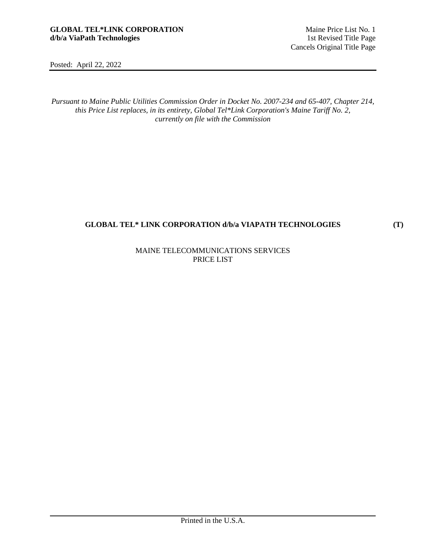**(T)** 

Posted: April 22, 2022

*Pursuant to Maine Public Utilities Commission Order in Docket No. 2007-234 and 65-407, Chapter 214, this Price List replaces, in its entirety, Global Tel\*Link Corporation's Maine Tariff No. 2, currently on file with the Commission* 

# **GLOBAL TEL\* LINK CORPORATION d/b/a VIAPATH TECHNOLOGIES**

# MAINE TELECOMMUNICATIONS SERVICES PRICE LIST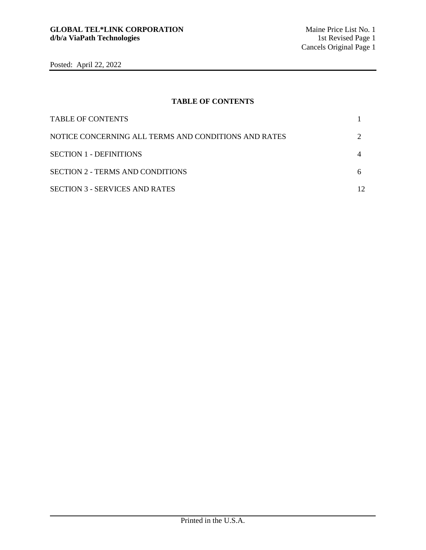# **TABLE OF CONTENTS**

| <b>TABLE OF CONTENTS</b>                             |                   |
|------------------------------------------------------|-------------------|
| NOTICE CONCERNING ALL TERMS AND CONDITIONS AND RATES |                   |
| <b>SECTION 1 - DEFINITIONS</b>                       |                   |
| <b>SECTION 2 - TERMS AND CONDITIONS</b>              |                   |
| <b>SECTION 3 - SERVICES AND RATES</b>                | $12 \overline{)}$ |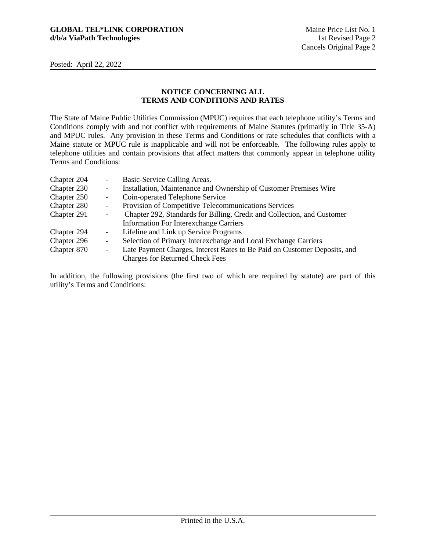# **NOTICE CONCERNING ALL TERMS AND CONDITIONS AND RATES**

The State of Maine Public Utilities Commission (MPUC) requires that each telephone utility's Terms and Conditions comply with and not conflict with requirements of Maine Statutes (primarily in Title 35-A) and MPUC rules. Any provision in these Terms and Conditions or rate schedules that conflicts with a Maine statute or MPUC rule is inapplicable and will not be enforceable. The following rules apply to telephone utilities and contain provisions that affect matters that commonly appear in telephone utility Terms and Conditions:

| Chapter 204 | $\overline{\phantom{a}}$ | Basic-Service Calling Areas.                                              |
|-------------|--------------------------|---------------------------------------------------------------------------|
| Chapter 230 | $\overline{\phantom{a}}$ | Installation, Maintenance and Ownership of Customer Premises Wire         |
| Chapter 250 | $\overline{\phantom{a}}$ | Coin-operated Telephone Service                                           |
| Chapter 280 | $\overline{\phantom{a}}$ | Provision of Competitive Telecommunications Services                      |
| Chapter 291 | $\overline{\phantom{a}}$ | Chapter 292, Standards for Billing, Credit and Collection, and Customer   |
|             |                          | <b>Information For Interexchange Carriers</b>                             |
| Chapter 294 | $\overline{\phantom{a}}$ | Lifeline and Link up Service Programs                                     |
| Chapter 296 | $\overline{\phantom{a}}$ | Selection of Primary Interexchange and Local Exchange Carriers            |
| Chapter 870 | $\overline{\phantom{a}}$ | Late Payment Charges, Interest Rates to Be Paid on Customer Deposits, and |
|             |                          | <b>Charges for Returned Check Fees</b>                                    |

In addition, the following provisions (the first two of which are required by statute) are part of this utility's Terms and Conditions: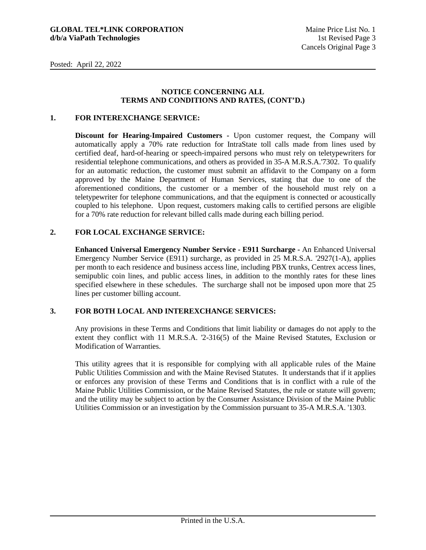### **NOTICE CONCERNING ALL TERMS AND CONDITIONS AND RATES, (CONT'D.)**

## **1. FOR INTEREXCHANGE SERVICE:**

**Discount for Hearing-Impaired Customers -** Upon customer request, the Company will automatically apply a 70% rate reduction for IntraState toll calls made from lines used by certified deaf, hard-of-hearing or speech-impaired persons who must rely on teletypewriters for residential telephone communications, and others as provided in 35-A M.R.S.A.'7302. To qualify for an automatic reduction, the customer must submit an affidavit to the Company on a form approved by the Maine Department of Human Services, stating that due to one of the aforementioned conditions, the customer or a member of the household must rely on a teletypewriter for telephone communications, and that the equipment is connected or acoustically coupled to his telephone. Upon request, customers making calls to certified persons are eligible for a 70% rate reduction for relevant billed calls made during each billing period.

## **2. FOR LOCAL EXCHANGE SERVICE:**

**Enhanced Universal Emergency Number Service - E911 Surcharge -** An Enhanced Universal Emergency Number Service (E911) surcharge, as provided in 25 M.R.S.A. '2927(1-A), applies per month to each residence and business access line, including PBX trunks, Centrex access lines, semipublic coin lines, and public access lines, in addition to the monthly rates for these lines specified elsewhere in these schedules. The surcharge shall not be imposed upon more that 25 lines per customer billing account.

## **3. FOR BOTH LOCAL AND INTEREXCHANGE SERVICES:**

Any provisions in these Terms and Conditions that limit liability or damages do not apply to the extent they conflict with 11 M.R.S.A. '2-316(5) of the Maine Revised Statutes, Exclusion or Modification of Warranties.

This utility agrees that it is responsible for complying with all applicable rules of the Maine Public Utilities Commission and with the Maine Revised Statutes. It understands that if it applies or enforces any provision of these Terms and Conditions that is in conflict with a rule of the Maine Public Utilities Commission, or the Maine Revised Statutes, the rule or statute will govern; and the utility may be subject to action by the Consumer Assistance Division of the Maine Public Utilities Commission or an investigation by the Commission pursuant to 35-A M.R.S.A. '1303.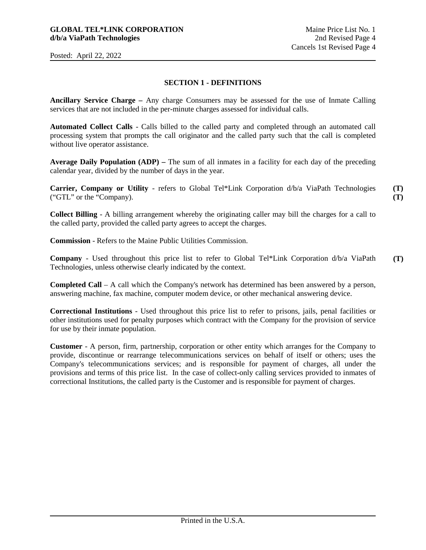### **SECTION 1 - DEFINITIONS**

**Ancillary Service Charge –** Any charge Consumers may be assessed for the use of Inmate Calling services that are not included in the per-minute charges assessed for individual calls.

**Automated Collect Calls** - Calls billed to the called party and completed through an automated call processing system that prompts the call originator and the called party such that the call is completed without live operator assistance.

**Average Daily Population (ADP) –** The sum of all inmates in a facility for each day of the preceding calendar year, divided by the number of days in the year.

**Carrier, Company or Utility** - refers to Global Tel\*Link Corporation d/b/a ViaPath Technologies ("GTL" or the "Company). **(T) (T)** 

**Collect Billing** - A billing arrangement whereby the originating caller may bill the charges for a call to the called party, provided the called party agrees to accept the charges.

**Commission** - Refers to the Maine Public Utilities Commission.

**Company** - Used throughout this price list to refer to Global Tel\*Link Corporation d/b/a ViaPath Technologies, unless otherwise clearly indicated by the context. **(T)** 

**Completed Call** – A call which the Company's network has determined has been answered by a person, answering machine, fax machine, computer modem device, or other mechanical answering device.

**Correctional Institutions** - Used throughout this price list to refer to prisons, jails, penal facilities or other institutions used for penalty purposes which contract with the Company for the provision of service for use by their inmate population.

**Customer** - A person, firm, partnership, corporation or other entity which arranges for the Company to provide, discontinue or rearrange telecommunications services on behalf of itself or others; uses the Company's telecommunications services; and is responsible for payment of charges, all under the provisions and terms of this price list. In the case of collect-only calling services provided to inmates of correctional Institutions, the called party is the Customer and is responsible for payment of charges.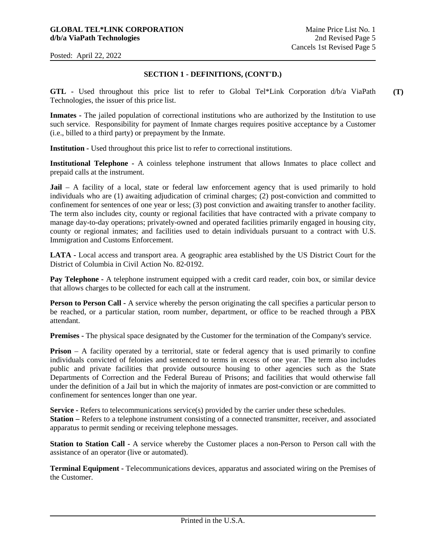## **SECTION 1 - DEFINITIONS, (CONT'D.)**

**GTL -** Used throughout this price list to refer to Global Tel\*Link Corporation d/b/a ViaPath Technologies, the issuer of this price list. **(T)** 

**Inmates -** The jailed population of correctional institutions who are authorized by the Institution to use such service. Responsibility for payment of Inmate charges requires positive acceptance by a Customer (i.e., billed to a third party) or prepayment by the Inmate.

**Institution -** Used throughout this price list to refer to correctional institutions.

**Institutional Telephone -** A coinless telephone instrument that allows Inmates to place collect and prepaid calls at the instrument.

**Jail** – A facility of a local, state or federal law enforcement agency that is used primarily to hold individuals who are (1) awaiting adjudication of criminal charges; (2) post-conviction and committed to confinement for sentences of one year or less; (3) post conviction and awaiting transfer to another facility. The term also includes city, county or regional facilities that have contracted with a private company to manage day-to-day operations; privately-owned and operated facilities primarily engaged in housing city, county or regional inmates; and facilities used to detain individuals pursuant to a contract with U.S. Immigration and Customs Enforcement.

**LATA -** Local access and transport area. A geographic area established by the US District Court for the District of Columbia in Civil Action No. 82-0192.

**Pay Telephone -** A telephone instrument equipped with a credit card reader, coin box, or similar device that allows charges to be collected for each call at the instrument.

**Person to Person Call -** A service whereby the person originating the call specifies a particular person to be reached, or a particular station, room number, department, or office to be reached through a PBX attendant.

**Premises -** The physical space designated by the Customer for the termination of the Company's service.

**Prison** – A facility operated by a territorial, state or federal agency that is used primarily to confine individuals convicted of felonies and sentenced to terms in excess of one year. The term also includes public and private facilities that provide outsource housing to other agencies such as the State Departments of Correction and the Federal Bureau of Prisons; and facilities that would otherwise fall under the definition of a Jail but in which the majority of inmates are post-conviction or are committed to confinement for sentences longer than one year.

**Service - Refers to telecommunications service(s) provided by the carrier under these schedules. Station** – Refers to a telephone instrument consisting of a connected transmitter, receiver, and associated apparatus to permit sending or receiving telephone messages.

**Station to Station Call -** A service whereby the Customer places a non-Person to Person call with the assistance of an operator (live or automated).

**Terminal Equipment -** Telecommunications devices, apparatus and associated wiring on the Premises of the Customer.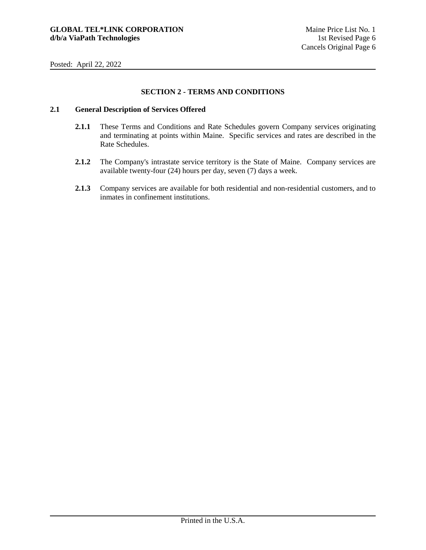# **SECTION 2 - TERMS AND CONDITIONS**

# **2.1 General Description of Services Offered**

- **2.1.1** These Terms and Conditions and Rate Schedules govern Company services originating and terminating at points within Maine. Specific services and rates are described in the Rate Schedules.
- **2.1.2** The Company's intrastate service territory is the State of Maine. Company services are available twenty-four (24) hours per day, seven (7) days a week.
- **2.1.3** Company services are available for both residential and non-residential customers, and to inmates in confinement institutions.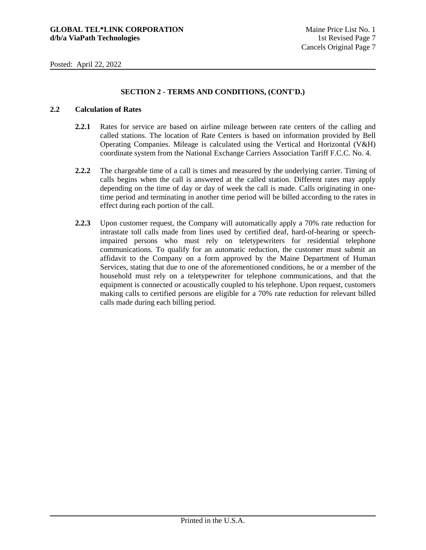# **SECTION 2 - TERMS AND CONDITIONS, (CONT'D.)**

## **2.2 Calculation of Rates**

- **2.2.1** Rates for service are based on airline mileage between rate centers of the calling and called stations. The location of Rate Centers is based on information provided by Bell Operating Companies. Mileage is calculated using the Vertical and Horizontal (V&H) coordinate system from the National Exchange Carriers Association Tariff F.C.C. No. 4.
- **2.2.2** The chargeable time of a call is times and measured by the underlying carrier. Timing of calls begins when the call is answered at the called station. Different rates may apply depending on the time of day or day of week the call is made. Calls originating in onetime period and terminating in another time period will be billed according to the rates in effect during each portion of the call.
- **2.2.3** Upon customer request, the Company will automatically apply a 70% rate reduction for intrastate toll calls made from lines used by certified deaf, hard-of-hearing or speechimpaired persons who must rely on teletypewriters for residential telephone communications. To qualify for an automatic reduction, the customer must submit an affidavit to the Company on a form approved by the Maine Department of Human Services, stating that due to one of the aforementioned conditions, he or a member of the household must rely on a teletypewriter for telephone communications, and that the equipment is connected or acoustically coupled to his telephone. Upon request, customers making calls to certified persons are eligible for a 70% rate reduction for relevant billed calls made during each billing period.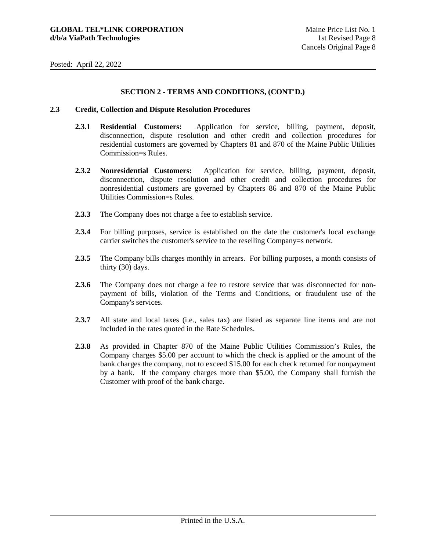# **SECTION 2 - TERMS AND CONDITIONS, (CONT'D.)**

#### **2.3 Credit, Collection and Dispute Resolution Procedures**

- **2.3.1 Residential Customers:** Application for service, billing, payment, deposit, disconnection, dispute resolution and other credit and collection procedures for residential customers are governed by Chapters 81 and 870 of the Maine Public Utilities Commission=s Rules.
- **2.3.2 Nonresidential Customers:** Application for service, billing, payment, deposit, disconnection, dispute resolution and other credit and collection procedures for nonresidential customers are governed by Chapters 86 and 870 of the Maine Public Utilities Commission=s Rules.
- **2.3.3** The Company does not charge a fee to establish service.
- **2.3.4** For billing purposes, service is established on the date the customer's local exchange carrier switches the customer's service to the reselling Company=s network.
- **2.3.5** The Company bills charges monthly in arrears. For billing purposes, a month consists of thirty (30) days.
- **2.3.6** The Company does not charge a fee to restore service that was disconnected for nonpayment of bills, violation of the Terms and Conditions, or fraudulent use of the Company's services.
- **2.3.7** All state and local taxes (i.e., sales tax) are listed as separate line items and are not included in the rates quoted in the Rate Schedules.
- **2.3.8** As provided in Chapter 870 of the Maine Public Utilities Commission's Rules, the Company charges \$5.00 per account to which the check is applied or the amount of the bank charges the company, not to exceed \$15.00 for each check returned for nonpayment by a bank. If the company charges more than \$5.00, the Company shall furnish the Customer with proof of the bank charge.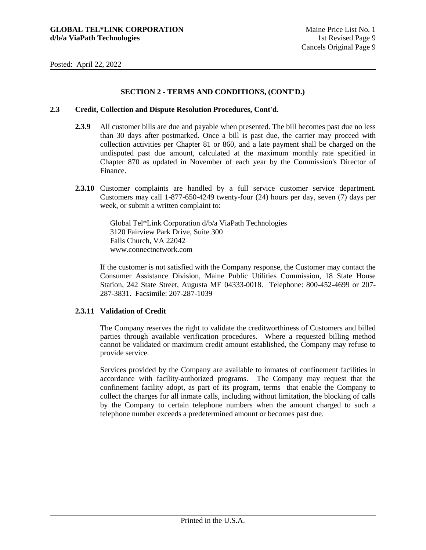## **SECTION 2 - TERMS AND CONDITIONS, (CONT'D.)**

#### **2.3 Credit, Collection and Dispute Resolution Procedures, Cont'd.**

- **2.3.9** All customer bills are due and payable when presented. The bill becomes past due no less than 30 days after postmarked. Once a bill is past due, the carrier may proceed with collection activities per Chapter 81 or 860, and a late payment shall be charged on the undisputed past due amount, calculated at the maximum monthly rate specified in Chapter 870 as updated in November of each year by the Commission's Director of Finance.
- **2.3.10** Customer complaints are handled by a full service customer service department. Customers may call 1-877-650-4249 twenty-four (24) hours per day, seven (7) days per week, or submit a written complaint to:

Global Tel\*Link Corporation d/b/a ViaPath Technologies 3120 Fairview Park Drive, Suite 300 Falls Church, VA 22042 www.connectnetwork.com

If the customer is not satisfied with the Company response, the Customer may contact the Consumer Assistance Division, Maine Public Utilities Commission, 18 State House Station, 242 State Street, Augusta ME 04333-0018. Telephone: 800-452-4699 or 207- 287-3831. Facsimile: 207-287-1039

## **2.3.11 Validation of Credit**

The Company reserves the right to validate the creditworthiness of Customers and billed parties through available verification procedures. Where a requested billing method cannot be validated or maximum credit amount established, the Company may refuse to provide service.

Services provided by the Company are available to inmates of confinement facilities in accordance with facility-authorized programs. The Company may request that the confinement facility adopt, as part of its program, terms that enable the Company to collect the charges for all inmate calls, including without limitation, the blocking of calls by the Company to certain telephone numbers when the amount charged to such a telephone number exceeds a predetermined amount or becomes past due.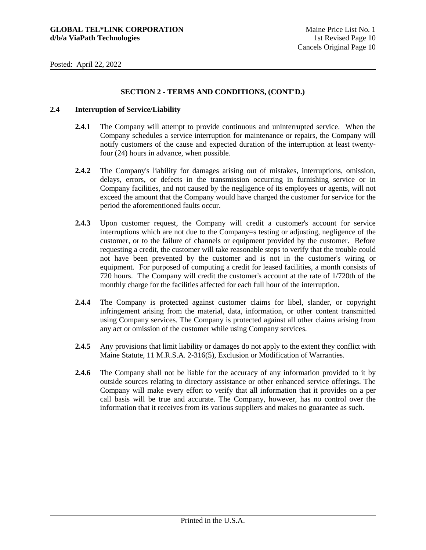# **SECTION 2 - TERMS AND CONDITIONS, (CONT'D.)**

#### **2.4 Interruption of Service/Liability**

- **2.4.1** The Company will attempt to provide continuous and uninterrupted service. When the Company schedules a service interruption for maintenance or repairs, the Company will notify customers of the cause and expected duration of the interruption at least twentyfour (24) hours in advance, when possible.
- **2.4.2** The Company's liability for damages arising out of mistakes, interruptions, omission, delays, errors, or defects in the transmission occurring in furnishing service or in Company facilities, and not caused by the negligence of its employees or agents, will not exceed the amount that the Company would have charged the customer for service for the period the aforementioned faults occur.
- **2.4.3** Upon customer request, the Company will credit a customer's account for service interruptions which are not due to the Company=s testing or adjusting, negligence of the customer, or to the failure of channels or equipment provided by the customer. Before requesting a credit, the customer will take reasonable steps to verify that the trouble could not have been prevented by the customer and is not in the customer's wiring or equipment. For purposed of computing a credit for leased facilities, a month consists of 720 hours. The Company will credit the customer's account at the rate of 1/720th of the monthly charge for the facilities affected for each full hour of the interruption.
- **2.4.4** The Company is protected against customer claims for libel, slander, or copyright infringement arising from the material, data, information, or other content transmitted using Company services. The Company is protected against all other claims arising from any act or omission of the customer while using Company services.
- **2.4.5** Any provisions that limit liability or damages do not apply to the extent they conflict with Maine Statute, 11 M.R.S.A. 2-316(5), Exclusion or Modification of Warranties.
- **2.4.6** The Company shall not be liable for the accuracy of any information provided to it by outside sources relating to directory assistance or other enhanced service offerings. The Company will make every effort to verify that all information that it provides on a per call basis will be true and accurate. The Company, however, has no control over the information that it receives from its various suppliers and makes no guarantee as such.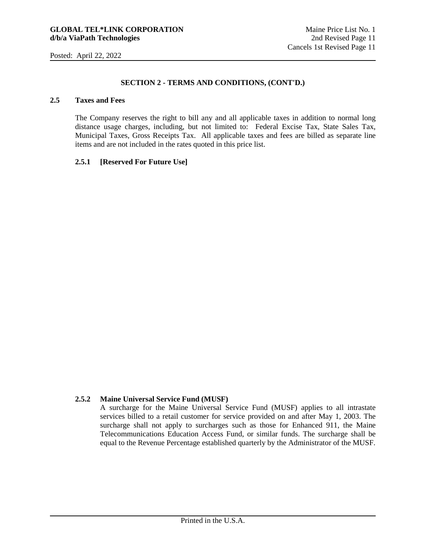## **SECTION 2 - TERMS AND CONDITIONS, (CONT'D.)**

# **2.5 Taxes and Fees**

The Company reserves the right to bill any and all applicable taxes in addition to normal long distance usage charges, including, but not limited to: Federal Excise Tax, State Sales Tax, Municipal Taxes, Gross Receipts Tax. All applicable taxes and fees are billed as separate line items and are not included in the rates quoted in this price list.

#### **2.5.1 [Reserved For Future Use]**

## **2.5.2 Maine Universal Service Fund (MUSF)**

A surcharge for the Maine Universal Service Fund (MUSF) applies to all intrastate services billed to a retail customer for service provided on and after May 1, 2003. The surcharge shall not apply to surcharges such as those for Enhanced 911, the Maine Telecommunications Education Access Fund, or similar funds. The surcharge shall be equal to the Revenue Percentage established quarterly by the Administrator of the MUSF.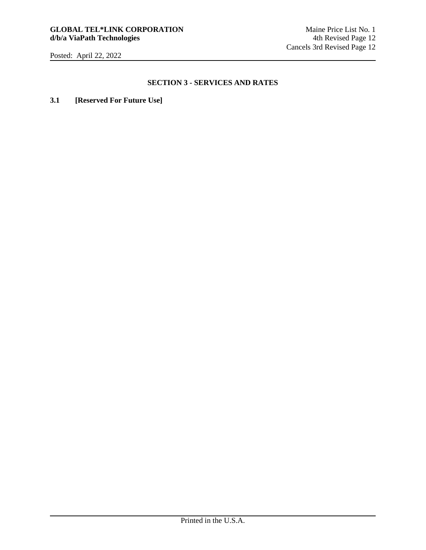### **SECTION 3 - SERVICES AND RATES**

**3.1 [Reserved For Future Use]**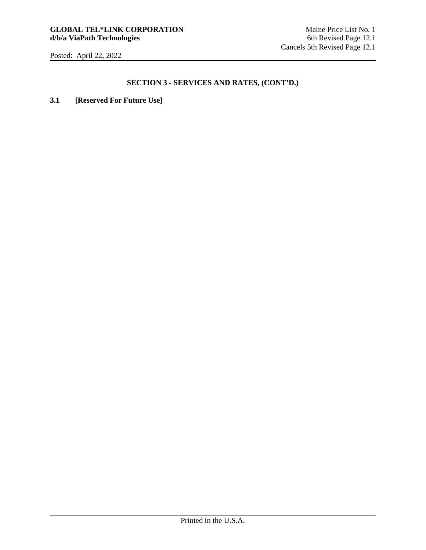# **SECTION 3 - SERVICES AND RATES, (CONT'D.)**

**3.1 [Reserved For Future Use]**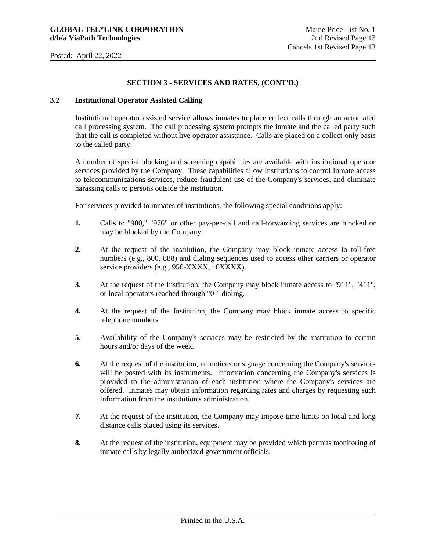### **SECTION 3 - SERVICES AND RATES, (CONT'D.)**

# **3.2 Institutional Operator Assisted Calling**

Institutional operator assisted service allows inmates to place collect calls through an automated call processing system. The call processing system prompts the inmate and the called party such that the call is completed without live operator assistance. Calls are placed on a collect-only basis to the called party.

A number of special blocking and screening capabilities are available with institutional operator services provided by the Company. These capabilities allow Institutions to control Inmate access to telecommunications services, reduce fraudulent use of the Company's services, and eliminate harassing calls to persons outside the institution.

For services provided to inmates of institutions, the following special conditions apply:

- **1.** Calls to "900," "976" or other pay-per-call and call-forwarding services are blocked or may be blocked by the Company.
- **2.** At the request of the institution, the Company may block inmate access to toll-free numbers (e.g., 800, 888) and dialing sequences used to access other carriers or operator service providers (e.g., 950-XXXX, 10XXXX).
- **3.** At the request of the Institution, the Company may block inmate access to "911", "411", or local operators reached through "0-" dialing.
- **4.** At the request of the Institution, the Company may block inmate access to specific telephone numbers.
- **5.** Availability of the Company's services may be restricted by the institution to certain hours and/or days of the week.
- **6.** At the request of the institution, no notices or signage concerning the Company's services will be posted with its instruments. Information concerning the Company's services is provided to the administration of each institution where the Company's services are offered. Inmates may obtain information regarding rates and charges by requesting such information from the institution's administration.
- **7.** At the request of the institution, the Company may impose time limits on local and long distance calls placed using its services.
- **8.** At the request of the institution, equipment may be provided which permits monitoring of inmate calls by legally authorized government officials.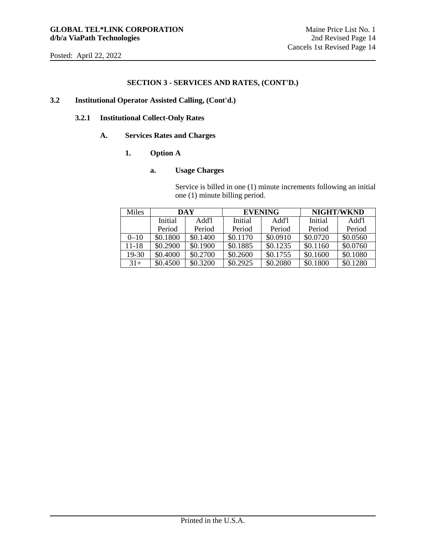## **SECTION 3 - SERVICES AND RATES, (CONT'D.)**

# **3.2 Institutional Operator Assisted Calling, (Cont'd.)**

### **3.2.1 Institutional Collect-Only Rates**

#### **A. Services Rates and Charges**

## **1. Option A**

#### **a. Usage Charges**

Service is billed in one (1) minute increments following an initial one (1) minute billing period.

| Miles     | DAY      |          | <b>EVENING</b> |          | <b>NIGHT/WKND</b> |          |
|-----------|----------|----------|----------------|----------|-------------------|----------|
|           | Initial  | Add'l    | Initial        | Add'l    | Initial           | Add'l    |
|           | Period   | Period   | Period         | Period   | Period            | Period   |
| $0 - 10$  | \$0.1800 | \$0.1400 | \$0.1170       | \$0.0910 | \$0.0720          | \$0.0560 |
| $11 - 18$ | \$0.2900 | \$0.1900 | \$0.1885       | \$0.1235 | \$0.1160          | \$0.0760 |
| 19-30     | \$0.4000 | \$0.2700 | \$0.2600       | \$0.1755 | \$0.1600          | \$0.1080 |
| $31+$     | \$0.4500 | \$0.3200 | \$0.2925       | \$0.2080 | \$0.1800          | \$0.1280 |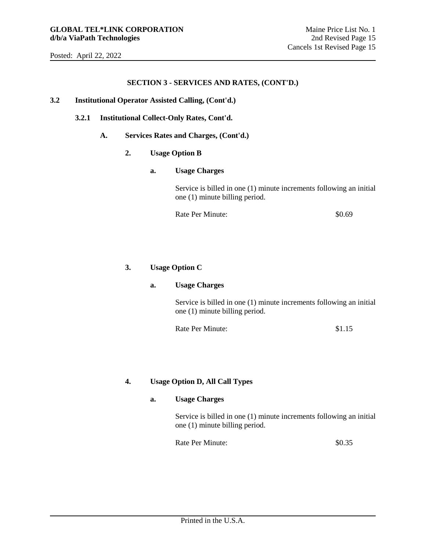#### **SECTION 3 - SERVICES AND RATES, (CONT'D.)**

### **3.2 Institutional Operator Assisted Calling, (Cont'd.)**

### **3.2.1 Institutional Collect-Only Rates, Cont'd.**

**A. Services Rates and Charges, (Cont'd.)** 

## **2. Usage Option B**

#### **a. Usage Charges**

Service is billed in one (1) minute increments following an initial one (1) minute billing period.

Rate Per Minute:  $$0.69$ 

# **3. Usage Option C**

## **a. Usage Charges**

Service is billed in one (1) minute increments following an initial one (1) minute billing period.

Rate Per Minute: \$1.15

# **4. Usage Option D, All Call Types**

## **a. Usage Charges**

Service is billed in one (1) minute increments following an initial one (1) minute billing period.

Rate Per Minute:  $$0.35$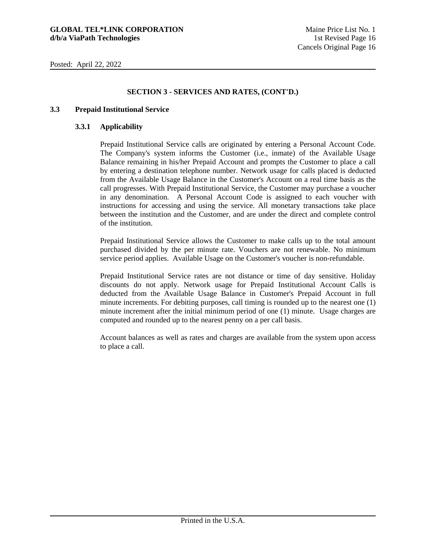# **SECTION 3 - SERVICES AND RATES, (CONT'D.)**

#### **3.3 Prepaid Institutional Service**

#### **3.3.1 Applicability**

Prepaid Institutional Service calls are originated by entering a Personal Account Code. The Company's system informs the Customer (i.e., inmate) of the Available Usage Balance remaining in his/her Prepaid Account and prompts the Customer to place a call by entering a destination telephone number. Network usage for calls placed is deducted from the Available Usage Balance in the Customer's Account on a real time basis as the call progresses. With Prepaid Institutional Service, the Customer may purchase a voucher in any denomination. A Personal Account Code is assigned to each voucher with instructions for accessing and using the service. All monetary transactions take place between the institution and the Customer, and are under the direct and complete control of the institution.

Prepaid Institutional Service allows the Customer to make calls up to the total amount purchased divided by the per minute rate. Vouchers are not renewable. No minimum service period applies. Available Usage on the Customer's voucher is non-refundable.

Prepaid Institutional Service rates are not distance or time of day sensitive. Holiday discounts do not apply. Network usage for Prepaid Institutional Account Calls is deducted from the Available Usage Balance in Customer's Prepaid Account in full minute increments. For debiting purposes, call timing is rounded up to the nearest one (1) minute increment after the initial minimum period of one (1) minute. Usage charges are computed and rounded up to the nearest penny on a per call basis.

Account balances as well as rates and charges are available from the system upon access to place a call.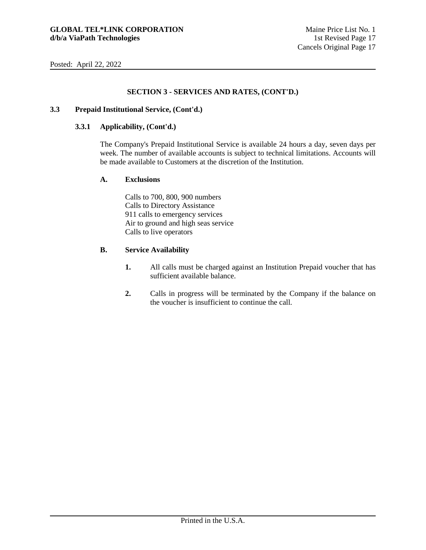# **SECTION 3 - SERVICES AND RATES, (CONT'D.)**

#### **3.3 Prepaid Institutional Service, (Cont'd.)**

#### **3.3.1 Applicability, (Cont'd.)**

The Company's Prepaid Institutional Service is available 24 hours a day, seven days per week. The number of available accounts is subject to technical limitations. Accounts will be made available to Customers at the discretion of the Institution.

#### **A. Exclusions**

Calls to 700, 800, 900 numbers Calls to Directory Assistance 911 calls to emergency services Air to ground and high seas service Calls to live operators

#### **B. Service Availability**

- **1.** All calls must be charged against an Institution Prepaid voucher that has sufficient available balance.
- **2.** Calls in progress will be terminated by the Company if the balance on the voucher is insufficient to continue the call.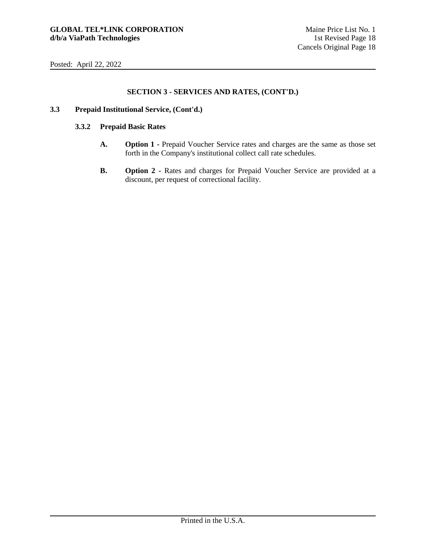# **SECTION 3 - SERVICES AND RATES, (CONT'D.)**

## **3.3 Prepaid Institutional Service, (Cont'd.)**

## **3.3.2 Prepaid Basic Rates**

- **A. Option 1** Prepaid Voucher Service rates and charges are the same as those set forth in the Company's institutional collect call rate schedules.
- **B.** Option 2 Rates and charges for Prepaid Voucher Service are provided at a discount, per request of correctional facility.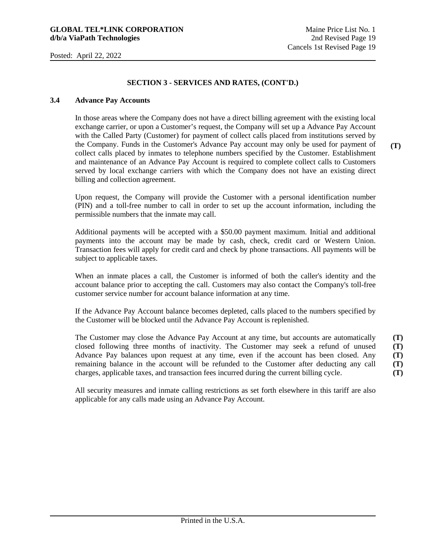## **SECTION 3 - SERVICES AND RATES, (CONT'D.)**

#### **3.4 Advance Pay Accounts**

In those areas where the Company does not have a direct billing agreement with the existing local exchange carrier, or upon a Customer's request, the Company will set up a Advance Pay Account with the Called Party (Customer) for payment of collect calls placed from institutions served by the Company. Funds in the Customer's Advance Pay account may only be used for payment of collect calls placed by inmates to telephone numbers specified by the Customer. Establishment and maintenance of an Advance Pay Account is required to complete collect calls to Customers served by local exchange carriers with which the Company does not have an existing direct billing and collection agreement.

Upon request, the Company will provide the Customer with a personal identification number (PIN) and a toll-free number to call in order to set up the account information, including the permissible numbers that the inmate may call.

Additional payments will be accepted with a \$50.00 payment maximum. Initial and additional payments into the account may be made by cash, check, credit card or Western Union. Transaction fees will apply for credit card and check by phone transactions. All payments will be subject to applicable taxes.

When an inmate places a call, the Customer is informed of both the caller's identity and the account balance prior to accepting the call. Customers may also contact the Company's toll-free customer service number for account balance information at any time.

If the Advance Pay Account balance becomes depleted, calls placed to the numbers specified by the Customer will be blocked until the Advance Pay Account is replenished.

The Customer may close the Advance Pay Account at any time, but accounts are automatically closed following three months of inactivity. The Customer may seek a refund of unused Advance Pay balances upon request at any time, even if the account has been closed. Any remaining balance in the account will be refunded to the Customer after deducting any call charges, applicable taxes, and transaction fees incurred during the current billing cycle. **(T) (T) (T) (T) (T)** 

All security measures and inmate calling restrictions as set forth elsewhere in this tariff are also applicable for any calls made using an Advance Pay Account.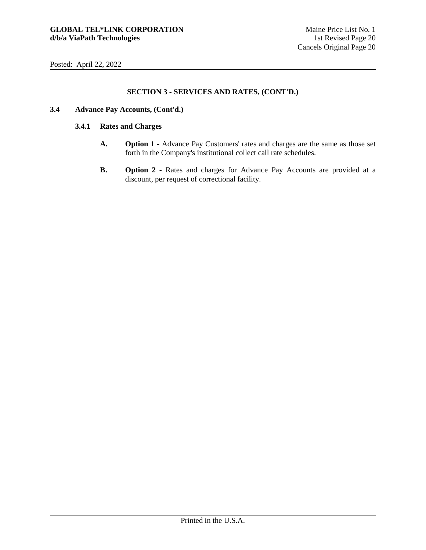# **SECTION 3 - SERVICES AND RATES, (CONT'D.)**

- **3.4 Advance Pay Accounts, (Cont'd.)** 
	- **3.4.1 Rates and Charges** 
		- **A. Option 1** Advance Pay Customers' rates and charges are the same as those set forth in the Company's institutional collect call rate schedules.
		- **B. Option 2 Rates and charges for Advance Pay Accounts are provided at a** discount, per request of correctional facility.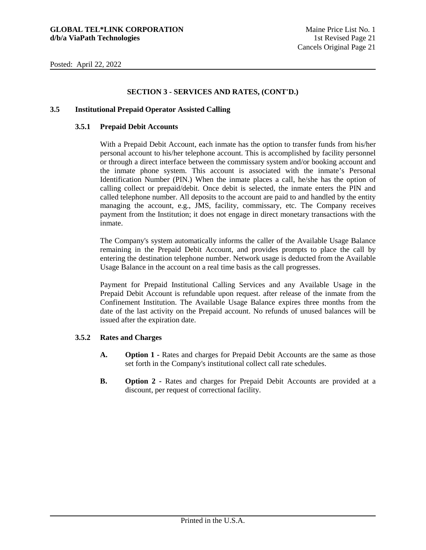# **SECTION 3 - SERVICES AND RATES, (CONT'D.)**

#### **3.5 Institutional Prepaid Operator Assisted Calling**

#### **3.5.1 Prepaid Debit Accounts**

With a Prepaid Debit Account, each inmate has the option to transfer funds from his/her personal account to his/her telephone account. This is accomplished by facility personnel or through a direct interface between the commissary system and/or booking account and the inmate phone system. This account is associated with the inmate's Personal Identification Number (PIN.) When the inmate places a call, he/she has the option of calling collect or prepaid/debit. Once debit is selected, the inmate enters the PIN and called telephone number. All deposits to the account are paid to and handled by the entity managing the account, e.g., JMS, facility, commissary, etc. The Company receives payment from the Institution; it does not engage in direct monetary transactions with the inmate.

The Company's system automatically informs the caller of the Available Usage Balance remaining in the Prepaid Debit Account, and provides prompts to place the call by entering the destination telephone number. Network usage is deducted from the Available Usage Balance in the account on a real time basis as the call progresses.

Payment for Prepaid Institutional Calling Services and any Available Usage in the Prepaid Debit Account is refundable upon request. after release of the inmate from the Confinement Institution. The Available Usage Balance expires three months from the date of the last activity on the Prepaid account. No refunds of unused balances will be issued after the expiration date.

## **3.5.2 Rates and Charges**

- **A. Option 1** Rates and charges for Prepaid Debit Accounts are the same as those set forth in the Company's institutional collect call rate schedules.
- **B.** Option 2 Rates and charges for Prepaid Debit Accounts are provided at a discount, per request of correctional facility.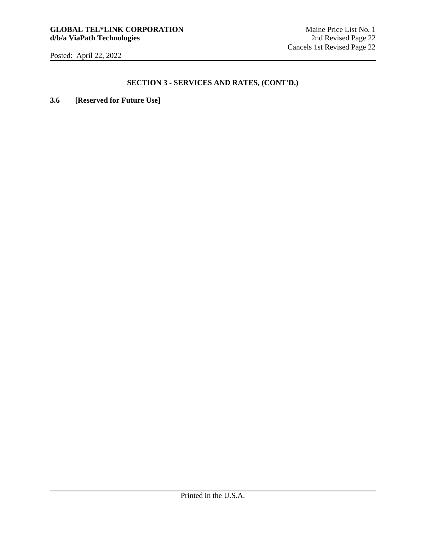# **SECTION 3 - SERVICES AND RATES, (CONT'D.)**

**3.6 [Reserved for Future Use]**